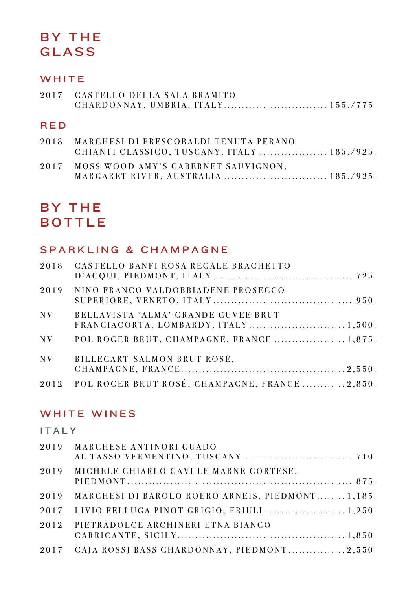# BY THE GLASS

# WHITE

| 2017 CASTELLO DELLA SALA BRAMITO |  |
|----------------------------------|--|
|                                  |  |
|                                  |  |

### RED

| 2018 MARCHESI DI FRESCOBALDI TENUTA PERANO<br>CHIANTI CLASSICO, TUSCANY, ITALY  185./925. |
|-------------------------------------------------------------------------------------------|
| 2017 MOSS WOOD AMY'S CABERNET SAUVIGNON,                                                  |

# BY THE BOTTLE

## SPARKLING & CHAMPAGNE

|         | 2018 CASTELLO BANFI ROSA REGALE BRACHETTO           |  |
|---------|-----------------------------------------------------|--|
| 2019    | NINO FRANCO VALDOBBIADENE PROSECCO                  |  |
| $N_{V}$ | BELLAVISTA 'ALMA' GRANDE CUVEE BRUT                 |  |
|         | NV POL ROGER BRUT, CHAMPAGNE, FRANCE  1,875.        |  |
|         | NV BILLECART-SALMON BRUT ROSÉ,                      |  |
|         | 2012 POL ROGER BRUT ROSÉ, CHAMPAGNE, FRANCE  2,850. |  |

## WHITE WINES

## ITALY

|      | 2019 MARCHESE ANTINORI GUADO                          |  |
|------|-------------------------------------------------------|--|
| 2019 | MICHELE CHIARLO GAVI LE MARNE CORTESE,                |  |
|      | 2019 MARCHESI DI BAROLO ROERO ARNEIS, PIEDMONT 1,185. |  |
|      | 2017 LIVIO FELLUGA PINOT GRIGIO, FRIULI 1,250.        |  |
|      | 2012 PIETRADOLCE ARCHINERI ETNA BIANCO                |  |
|      | 2017 GAJA ROSSI BASS CHARDONNAY, PIEDMONT 2,550.      |  |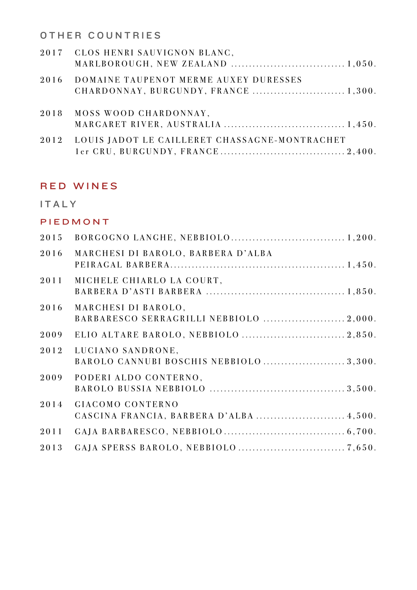OTHER COUNTRIES

| 2017 CLOS HENRI SAUVIGNON BLANC,                   |  |
|----------------------------------------------------|--|
| 2016 DOMAINE TAUPENOT MERME AUXEY DURESSES         |  |
| 2018 MOSS WOOD CHARDONNAY,                         |  |
| 2012 LOUIS JADOT LE CAILLERET CHASSAGNE-MONTRACHET |  |

### RED WINES

#### ITALY

#### PIEDMONT

| 2015 |                                                                |  |
|------|----------------------------------------------------------------|--|
| 2016 | MARCHESI DI BAROLO, BARBERA D'ALBA                             |  |
| 2011 | MICHELE CHIARLO LA COURT,                                      |  |
| 2016 | MARCHESI DI BAROLO,<br>BARBARESCO SERRAGRILLI NEBBIOLO  2,000. |  |
| 2009 |                                                                |  |
| 2012 | LUCIANO SANDRONE,<br>BAROLO CANNUBI BOSCHIS NEBBIOLO 3,300.    |  |
| 2009 | PODERI ALDO CONTERNO,                                          |  |
| 2014 | <b>GIACOMO CONTERNO</b>                                        |  |
| 2011 |                                                                |  |
| 2013 |                                                                |  |
|      |                                                                |  |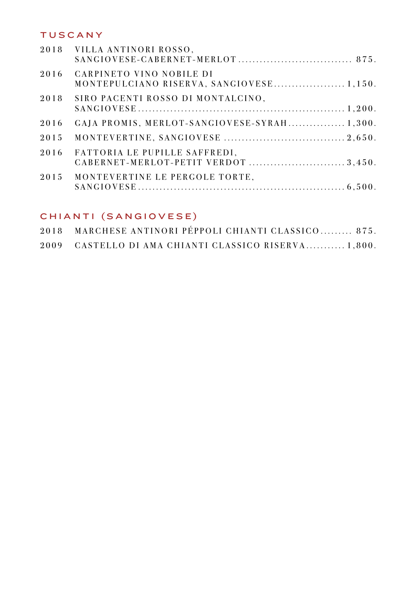### TUSCANY

| 2018 VILLA ANTINORI ROSSO,                                                   |  |
|------------------------------------------------------------------------------|--|
| 2016<br>CARPINETO VINO NOBILE DI<br>MONTEPULCIANO RISERVA, SANGIOVESE 1,150. |  |
| 2018<br>SIRO PACENTI ROSSO DI MONTALCINO,                                    |  |
| GAJA PROMIS, MERLOT-SANGIOVESE-SYRAH 1,300.<br>2016                          |  |
| 2015                                                                         |  |
| FATTORIA LE PUPILLE SAFFREDI,<br>2016<br>CABERNET-MERLOT-PETIT VERDOT 3,450. |  |
| 2015<br>MONTEVERTINE LE PERGOLE TORTE,                                       |  |

# CHIANTI (SANGIOVESE)

| 2018 MARCHESE ANTINORI PÉPPOLI CHIANTI CLASSICO 875. |  |
|------------------------------------------------------|--|
| 2009 CASTELLO DI AMA CHIANTI CLASSICO RISERVA 1,800. |  |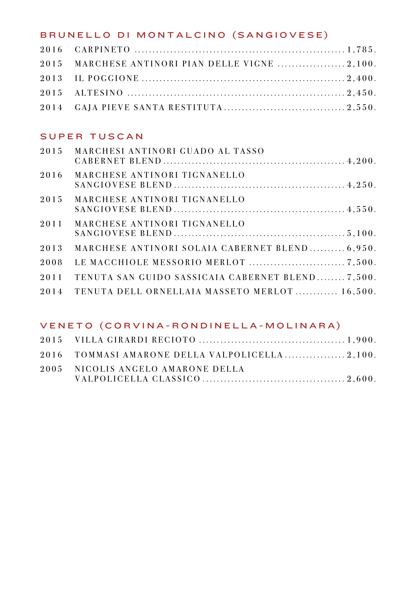# BRUNELLO DI MONTALCINO (SANGIOVESE)

| 2015 MARCHESE ANTINORI PIAN DELLE VIGNE  2,100. |  |
|-------------------------------------------------|--|
|                                                 |  |
|                                                 |  |
|                                                 |  |

## SUPER TUSCAN

| 2015 | MARCHESI ANTINORI GUADO AL TASSO                 |  |
|------|--------------------------------------------------|--|
| 2016 | MARCHESE ANTINORI TIGNANELLO                     |  |
| 2015 | MARCHESE ANTINORI TIGNANELLO                     |  |
| 2011 | MARCHESE ANTINORI TIGNANELLO                     |  |
| 2013 | MARCHESE ANTINORI SOLAIA CABERNET BLEND 6.950.   |  |
| 2008 |                                                  |  |
| 2011 | TENUTA SAN GUIDO SASSICAIA CABERNET BLEND 7,500. |  |
| 2014 | TENUTA DELL ORNELLAIA MASSETO MERLOT 16,500.     |  |

### VENETO (CORVINA - RONDINELLA - MOLINARA)

| 2016 TOMMASI AMARONE DELLA VALPOLICELLA 2,100. |  |
|------------------------------------------------|--|
| 2005 NICOLIS ANGELO AMARONE DELLA              |  |